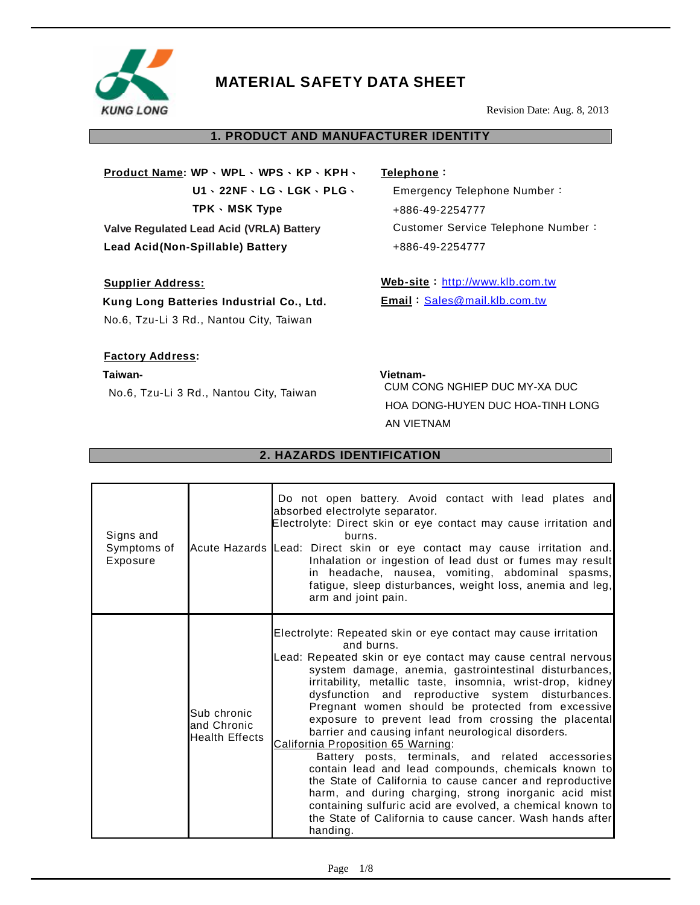

Revision Date: Aug. 8, 2013

# **1. PRODUCT AND MANUFACTURER IDENTITY**

**Product Name: WP**、**WPL**、 **WPS**、**KP**、**KPH**、 **U1**、**22NF**、**LG**、**LGK**、**PLG**、 **TPK**、**MSK Type Valve Regulated Lead Acid (VRLA) Battery Lead Acid(Non-Spillable) Battery** 

## **Supplier Address:**

**Kung Long Batteries Industrial Co., Ltd.**  No.6, Tzu-Li 3 Rd., Nantou City, Taiwan

## **Factory Address:**

**Taiwan-**

No.6, Tzu-Li 3 Rd., Nantou City, Taiwan

**Telephone**:

Emergency Telephone Number: +886-49-2254777 Customer Service Telephone Number: +886-49-2254777

Web-site : <http://www.klb.com.tw> **Email**:[Sales@mail.klb.com.tw](mailto:Sales@mail.klb.com.tw)

**Vietnam-**CUM CONG NGHIEP DUC MY-XA DUC HOA DONG-HUYEN DUC HOA-TINH LONG AN VIETNAM

# **2. HAZARDS IDENTIFICATION**

| Signs and<br>Symptoms of<br>Exposure |                                                     | Do not open battery. Avoid contact with lead plates and<br>absorbed electrolyte separator.<br>Electrolyte: Direct skin or eye contact may cause irritation and<br>burns.<br>Acute Hazards Lead: Direct skin or eye contact may cause irritation and.<br>Inhalation or ingestion of lead dust or fumes may result<br>in headache, nausea, vomiting, abdominal spasms,<br>fatigue, sleep disturbances, weight loss, anemia and leg,<br>arm and joint pain.                                                                                                                                                                                                                                                                                                                                                                                                                                                 |
|--------------------------------------|-----------------------------------------------------|----------------------------------------------------------------------------------------------------------------------------------------------------------------------------------------------------------------------------------------------------------------------------------------------------------------------------------------------------------------------------------------------------------------------------------------------------------------------------------------------------------------------------------------------------------------------------------------------------------------------------------------------------------------------------------------------------------------------------------------------------------------------------------------------------------------------------------------------------------------------------------------------------------|
|                                      | Sub chronic<br>and Chronic<br><b>Health Effects</b> | Electrolyte: Repeated skin or eye contact may cause irritation<br>and burns.<br>Lead: Repeated skin or eye contact may cause central nervous<br>system damage, anemia, gastrointestinal disturbances,<br>irritability, metallic taste, insomnia, wrist-drop, kidney<br>dysfunction and reproductive system disturbances.<br>Pregnant women should be protected from excessive<br>exposure to prevent lead from crossing the placental<br>barrier and causing infant neurological disorders.<br>California Proposition 65 Warning:<br>Battery posts, terminals, and related accessories<br>contain lead and lead compounds, chemicals known to<br>the State of California to cause cancer and reproductive<br>harm, and during charging, strong inorganic acid mist<br>containing sulfuric acid are evolved, a chemical known to<br>the State of California to cause cancer. Wash hands after<br>handing. |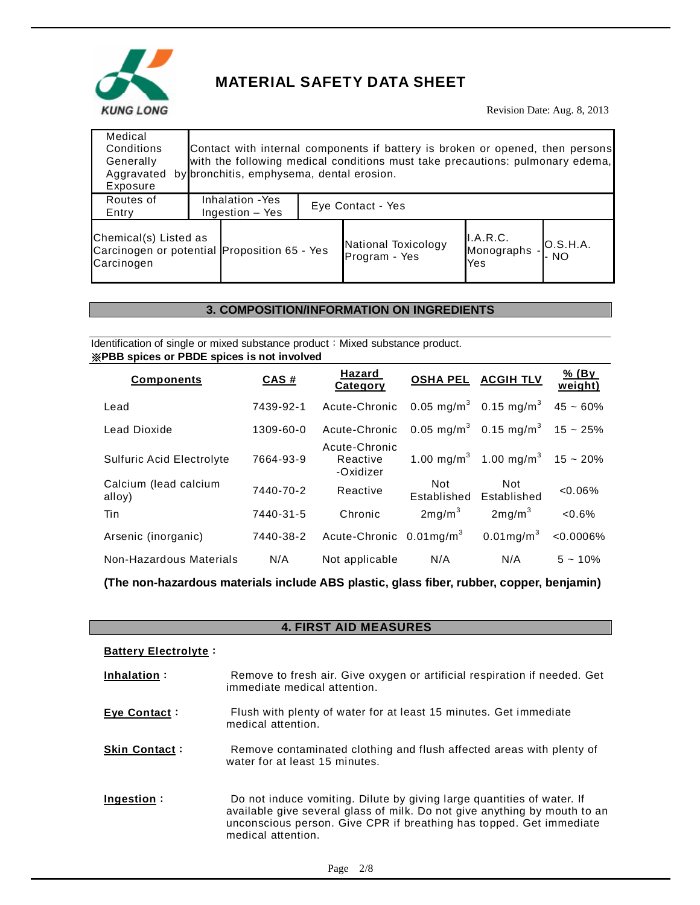

Revision Date: Aug. 8, 2013

| Medical<br>Conditions<br>Generally<br>Aggravated<br>Exposure                        | by bronchitis, emphysema, dental erosion. | Contact with internal components if battery is broken or opened, then persons<br>with the following medical conditions must take precautions: pulmonary edema, |                               |                  |
|-------------------------------------------------------------------------------------|-------------------------------------------|----------------------------------------------------------------------------------------------------------------------------------------------------------------|-------------------------------|------------------|
| Routes of<br>Entry                                                                  | Inhalation - Yes<br>Ingestion - Yes       | Eye Contact - Yes                                                                                                                                              |                               |                  |
| Chemical(s) Listed as<br>Carcinogen or potential Proposition 65 - Yes<br>Carcinogen |                                           | National Toxicology<br>Program - Yes                                                                                                                           | I.A.R.C.<br>Monographs<br>Yes | O.S.H.A.<br>· NO |

# **3. COMPOSITION/INFORMATION ON INGREDIENTS**

Identification of single or mixed substance product: Mixed substance product. ※**PBB spices or PBDE spices is not involved**

| <b>Components</b>                | <b>CAS#</b> | Hazard<br>Category                     |                    | <b>OSHA PEL ACGIH TLV</b>                              | % (By<br>weight) |
|----------------------------------|-------------|----------------------------------------|--------------------|--------------------------------------------------------|------------------|
| Lead                             | 7439-92-1   | Acute-Chronic                          |                    | 0.05 mg/m <sup>3</sup> 0.15 mg/m <sup>3</sup>          | $45 - 60%$       |
| Lead Dioxide                     | 1309-60-0   | Acute-Chronic                          |                    | 0.05 mg/m <sup>3</sup> 0.15 mg/m <sup>3</sup> 15 ~ 25% |                  |
| <b>Sulfuric Acid Electrolyte</b> | 7664-93-9   | Acute-Chronic<br>Reactive<br>-Oxidizer |                    | 1.00 mg/m <sup>3</sup> 1.00 mg/m <sup>3</sup> 15 ~ 20% |                  |
| Calcium (lead calcium<br>alloy)  | 7440-70-2   | Reactive                               | Not<br>Established | Not.<br>Established                                    | $<0.06\%$        |
| Tin                              | 7440-31-5   | Chronic                                | 2mg/m <sup>3</sup> | 2mg/m <sup>3</sup>                                     | $<0.6\%$         |
| Arsenic (inorganic)              | 7440-38-2   | Acute-Chronic $0.01 \text{mg/m}^3$     |                    | $0.01$ mg/m <sup>3</sup>                               | $< 0.0006\%$     |
| Non-Hazardous Materials          | N/A         | Not applicable                         | N/A                | N/A                                                    | $5 - 10\%$       |

**(The non-hazardous materials include ABS plastic, glass fiber, rubber, copper, benjamin)** 

# **4. FIRST AID MEASURES**

#### **Battery Electrolyte**:

| Inhalation:          | Remove to fresh air. Give oxygen or artificial respiration if needed. Get<br>immediate medical attention.                                                                                                                                        |
|----------------------|--------------------------------------------------------------------------------------------------------------------------------------------------------------------------------------------------------------------------------------------------|
| Eye Contact:         | Flush with plenty of water for at least 15 minutes. Get immediate<br>medical attention.                                                                                                                                                          |
| <b>Skin Contact:</b> | Remove contaminated clothing and flush affected areas with plenty of<br>water for at least 15 minutes.                                                                                                                                           |
| Ingestion:           | Do not induce vomiting. Dilute by giving large quantities of water. If<br>available give several glass of milk. Do not give anything by mouth to an<br>unconscious person. Give CPR if breathing has topped. Get immediate<br>medical attention. |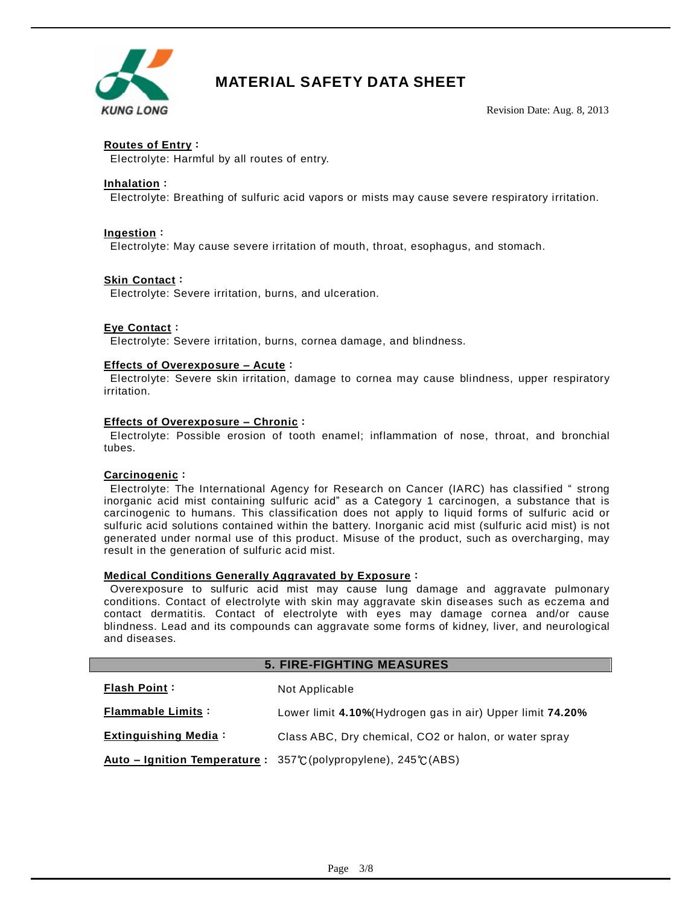

Revision Date: Aug. 8, 2013

## **Routes of Entry**:

Electrolyte: Harmful by all routes of entry.

#### **Inhalation**:

Electrolyte: Breathing of sulfuric acid vapors or mists may cause severe respiratory irritation.

#### **Ingestion**:

Electrolyte: May cause severe irritation of mouth, throat, esophagus, and stomach.

#### **Skin Contact**:

Electrolyte: Severe irritation, burns, and ulceration.

#### **Eye Contact**:

Electrolyte: Severe irritation, burns, cornea damage, and blindness.

#### **Effects of Overexposure – Acute**:

Electrolyte: Severe skin irritation, damage to cornea may cause blindness, upper respiratory irritation.

#### **Effects of Overexposure – Chronic**:

Electrolyte: Possible erosion of tooth enamel; inflammation of nose, throat, and bronchial tubes.

#### **Carcinogenic**:

Electrolyte: The International Agency for Research on Cancer (IARC) has classified " strong inorganic acid mist containing sulfuric acid" as a Category 1 carcinogen, a substance that is carcinogenic to humans. This classification does not apply to liquid forms of sulfuric acid or sulfuric acid solutions contained within the battery. Inorganic acid mist (sulfuric acid mist) is not generated under normal use of this product. Misuse of the product, such as overcharging, may result in the generation of sulfuric acid mist.

#### **Medical Conditions Generally Aggravated by Exposure**:

Overexposure to sulfuric acid mist may cause lung damage and aggravate pulmonary conditions. Contact of electrolyte with skin may aggravate skin diseases such as eczema and contact dermatitis. Contact of electrolyte with eyes may damage cornea and/or cause blindness. Lead and its compounds can aggravate some forms of kidney, liver, and neurological and diseases.

#### **5. FIRE-FIGHTING MEASURES**

| <b>Flash Point:</b>         | Not Applicable                                                                      |
|-----------------------------|-------------------------------------------------------------------------------------|
| <b>Flammable Limits:</b>    | Lower limit 4.10% (Hydrogen gas in air) Upper limit 74.20%                          |
| <b>Extinguishing Media:</b> | Class ABC, Dry chemical, CO2 or halon, or water spray                               |
|                             | Auto – Ignition Temperature: $357^{\circ}$ C (polypropylene), $245^{\circ}$ C (ABS) |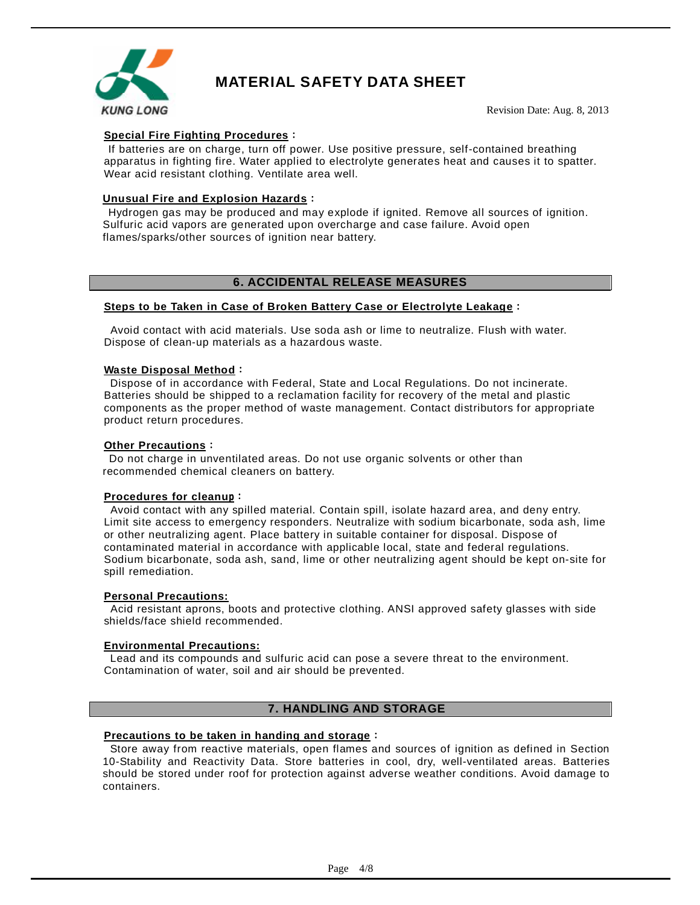

Revision Date: Aug. 8, 2013

## **Special Fire Fighting Procedures**:

If batteries are on charge, turn off power. Use positive pressure, self-contained breathing apparatus in fighting fire. Water applied to electrolyte generates heat and causes it to spatter. Wear acid resistant clothing. Ventilate area well.

## **Unusual Fire and Explosion Hazards**:

Hydrogen gas may be produced and may explode if ignited. Remove all sources of ignition. Sulfuric acid vapors are generated upon overcharge and case failure. Avoid open flames/sparks/other sources of ignition near battery.

# **6. ACCIDENTAL RELEASE MEASURES**

## **Steps to be Taken in Case of Broken Battery Case or Electrolyte Leakage**:

Avoid contact with acid materials. Use soda ash or lime to neutralize. Flush with water. Dispose of clean-up materials as a hazardous waste.

#### **Waste Disposal Method**:

Dispose of in accordance with Federal, State and Local Regulations. Do not incinerate. Batteries should be shipped to a reclamation facility for recovery of the metal and plastic components as the proper method of waste management. Contact distributors for appropriate product return procedures.

#### **Other Precautions**:

Do not charge in unventilated areas. Do not use organic solvents or other than recommended chemical cleaners on battery.

#### **Procedures for cleanu**p:

Avoid contact with any spilled material. Contain spill, isolate hazard area, and deny entry. Limit site access to emergency responders. Neutralize with sodium bicarbonate, soda ash, lime or other neutralizing agent. Place battery in suitable container for disposal. Dispose of contaminated material in accordance with applicable local, state and federal regulations. Sodium bicarbonate, soda ash, sand, lime or other neutralizing agent should be kept on-site for spill remediation.

#### **Personal Precautions:**

Acid resistant aprons, boots and protective clothing. ANSI approved safety glasses with side shields/face shield recommended.

#### **Environmental Precautions:**

Lead and its compounds and sulfuric acid can pose a severe threat to the environment. Contamination of water, soil and air should be prevented.

#### **7. HANDLING AND STORAGE**

## **Precautions to be taken in handing and storage**:

Store away from reactive materials, open flames and sources of ignition as defined in Section 10-Stability and Reactivity Data. Store batteries in cool, dry, well-ventilated areas. Batteries should be stored under roof for protection against adverse weather conditions. Avoid damage to containers.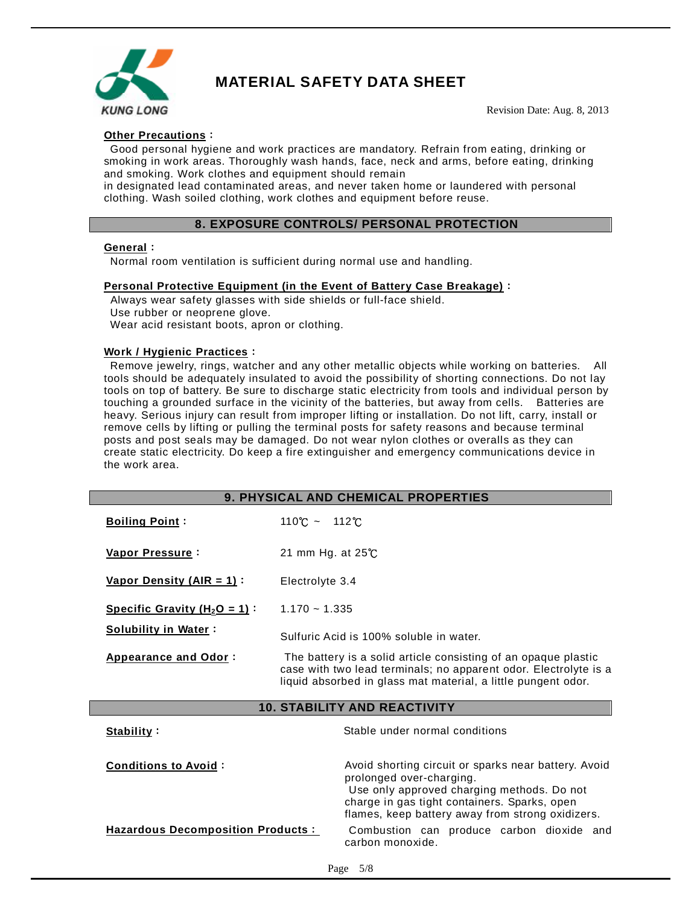

Revision Date: Aug. 8, 2013

## **Other Precautions**:

Good personal hygiene and work practices are mandatory. Refrain from eating, drinking or smoking in work areas. Thoroughly wash hands, face, neck and arms, before eating, drinking and smoking. Work clothes and equipment should remain

in designated lead contaminated areas, and never taken home or laundered with personal clothing. Wash soiled clothing, work clothes and equipment before reuse.

#### **8. EXPOSURE CONTROLS/ PERSONAL PROTECTION**

#### **General**:

Normal room ventilation is sufficient during normal use and handling.

#### **Personal Protective Equipment (in the Event of Battery Case Breakage)**:

Always wear safety glasses with side shields or full-face shield. Use rubber or neoprene glove. Wear acid resistant boots, apron or clothing.

#### **Work / Hygienic Practices**:

Remove jewelry, rings, watcher and any other metallic objects while working on batteries. All tools should be adequately insulated to avoid the possibility of shorting connections. Do not lay tools on top of battery. Be sure to discharge static electricity from tools and individual person by touching a grounded surface in the vicinity of the batteries, but away from cells. Batteries are heavy. Serious injury can result from improper lifting or installation. Do not lift, carry, install or remove cells by lifting or pulling the terminal posts for safety reasons and because terminal posts and post seals may be damaged. Do not wear nylon clothes or overalls as they can create static electricity. Do keep a fire extinguisher and emergency communications device in the work area.

| 9. PHYSICAL AND CHEMICAL PROPERTIES      |                                                                                                                                                                                                                                    |  |  |  |
|------------------------------------------|------------------------------------------------------------------------------------------------------------------------------------------------------------------------------------------------------------------------------------|--|--|--|
| <b>Boiling Point:</b>                    | $110^{\circ}$ C ~ $112^{\circ}$ C                                                                                                                                                                                                  |  |  |  |
| Vapor Pressure:                          | 21 mm Hg. at $25^{\circ}$ C                                                                                                                                                                                                        |  |  |  |
| Vapor Density (AIR = $1$ ):              | Electrolyte 3.4                                                                                                                                                                                                                    |  |  |  |
| Specific Gravity ( $H_2O = 1$ ):         | $1.170 - 1.335$                                                                                                                                                                                                                    |  |  |  |
| <b>Solubility in Water:</b>              | Sulfuric Acid is 100% soluble in water.                                                                                                                                                                                            |  |  |  |
| Appearance and Odor:                     | The battery is a solid article consisting of an opaque plastic<br>case with two lead terminals; no apparent odor. Electrolyte is a<br>liquid absorbed in glass mat material, a little pungent odor.                                |  |  |  |
| <b>10. STABILITY AND REACTIVITY</b>      |                                                                                                                                                                                                                                    |  |  |  |
| Stability:                               | Stable under normal conditions                                                                                                                                                                                                     |  |  |  |
| <b>Conditions to Avoid:</b>              | Avoid shorting circuit or sparks near battery. Avoid<br>prolonged over-charging.<br>Use only approved charging methods. Do not<br>charge in gas tight containers. Sparks, open<br>flames, keep battery away from strong oxidizers. |  |  |  |
| <b>Hazardous Decomposition Products:</b> | Combustion can produce carbon dioxide and<br>carbon monoxide.                                                                                                                                                                      |  |  |  |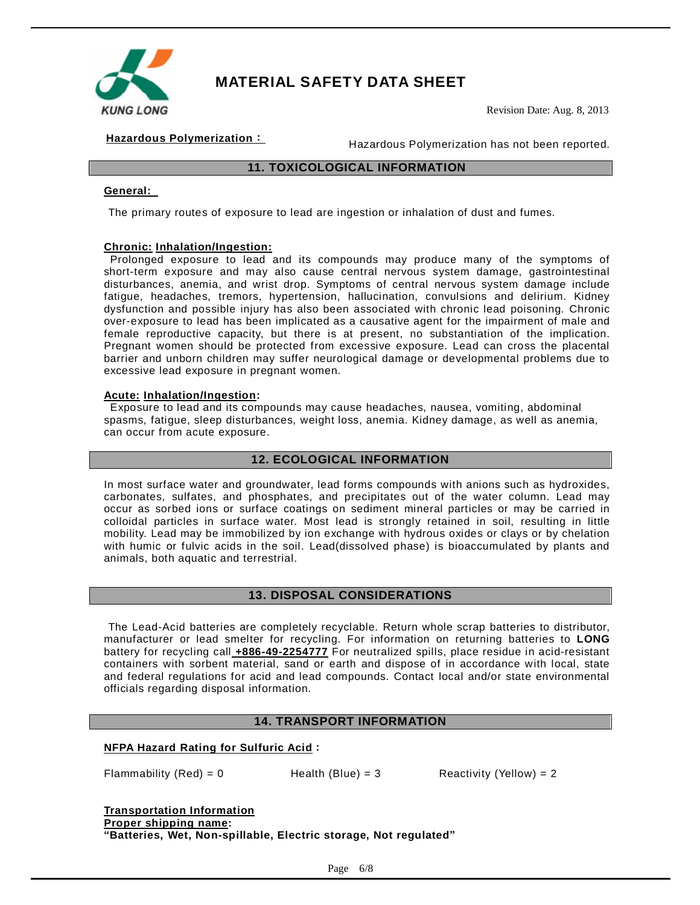

Revision Date: Aug. 8, 2013

**Hazardous Polymerization**: Hazardous Polymerization has not been reported.

## **11. TOXICOLOGICAL INFORMATION**

## **General:**

The primary routes of exposure to lead are ingestion or inhalation of dust and fumes.

#### **Chronic: Inhalation/Ingestion:**

Prolonged exposure to lead and its compounds may produce many of the symptoms of short-term exposure and may also cause central nervous system damage, gastrointestinal disturbances, anemia, and wrist drop. Symptoms of central nervous system damage include fatigue, headaches, tremors, hypertension, hallucination, convulsions and delirium. Kidney dysfunction and possible injury has also been associated with chronic lead poisoning. Chronic over-exposure to lead has been implicated as a causative agent for the impairment of male and female reproductive capacity, but there is at present, no substantiation of the implication. Pregnant women should be protected from excessive exposure. Lead can cross the placental barrier and unborn children may suffer neurological damage or developmental problems due to excessive lead exposure in pregnant women.

#### **Acute: Inhalation/Ingestion:**

Exposure to lead and its compounds may cause headaches, nausea, vomiting, abdominal spasms, fatigue, sleep disturbances, weight loss, anemia. Kidney damage, as well as anemia, can occur from acute exposure.

#### **12. ECOLOGICAL INFORMATION**

In most surface water and groundwater, lead forms compounds with anions such as hydroxides, carbonates, sulfates, and phosphates, and precipitates out of the water column. Lead may occur as sorbed ions or surface coatings on sediment mineral particles or may be carried in colloidal particles in surface water. Most lead is strongly retained in soil, resulting in little mobility. Lead may be immobilized by ion exchange with hydrous oxides or clays or by chelation with humic or fulvic acids in the soil. Lead(dissolved phase) is bioaccumulated by plants and animals, both aquatic and terrestrial.

#### **13. DISPOSAL CONSIDERATIONS**

The Lead-Acid batteries are completely recyclable. Return whole scrap batteries to distributor, manufacturer or lead smelter for recycling. For information on returning batteries to **LONG** battery for recycling call **+886-49-2254777** For neutralized spills, place residue in acid-resistant containers with sorbent material, sand or earth and dispose of in accordance with local, state and federal regulations for acid and lead compounds. Contact local and/or state environmental officials regarding disposal information.

#### **14. TRANSPORT INFORMATION**

#### **NFPA Hazard Rating for Sulfuric Acid**:

Flammability  $(Red) = 0$  Health  $(Blue) = 3$  Reactivity  $(Yellow) = 2$ 

**Transportation Information Proper shipping name: "Batteries, Wet, Non-spillable, Electric storage, Not regulated"**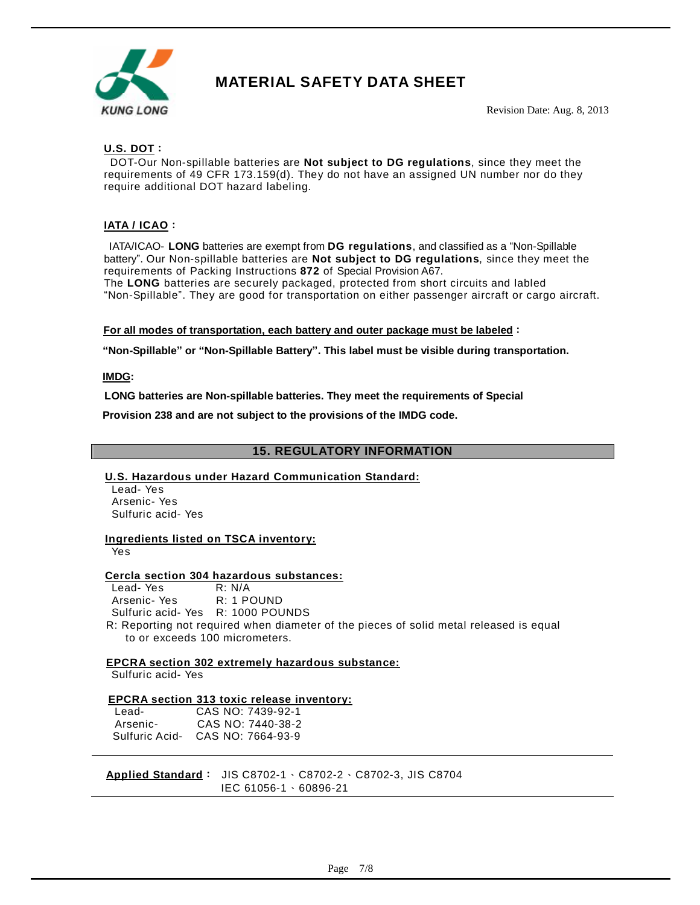

Revision Date: Aug. 8, 2013

# **U.S. DOT**:

DOT-Our Non-spillable batteries are **Not subject to DG regulations**, since they meet the requirements of 49 CFR 173.159(d). They do not have an assigned UN number nor do they require additional DOT hazard labeling.

# **IATA / ICAO**:

IATA/ICAO- **LONG** batteries are exempt from **DG regulations**, and classified as a "Non-Spillable battery". Our Non-spillable batteries are **Not subject to DG regulations**, since they meet the requirements of Packing Instructions **872** of Special Provision A67. The **LONG** batteries are securely packaged, protected from short circuits and labled

"Non-Spillable". They are good for transportation on either passenger aircraft or cargo aircraft.

#### **For all modes of transportation, each battery and outer package must be labeled**:

**"Non-Spillable" or "Non-Spillable Battery". This label must be visible during transportation.** 

**IMDG:** 

**LONG batteries are Non-spillable batteries. They meet the requirements of Special** 

**Provision 238 and are not subject to the provisions of the IMDG code.** 

## **15. REGULATORY INFORMATION**

#### **U.S. Hazardous under Hazard Communication Standard:**

Lead- Yes Arsenic- Yes Sulfuric acid- Yes

#### **Ingredients listed on TSCA inventory:**

Yes

#### **Cercla section 304 hazardous substances:**

Lead- Yes R: N/A Arsenic- Yes R: 1 POUND Sulfuric acid- YesR: 1000 POUNDS R: Reporting not required when diameter of the pieces of solid metal released is equal to or exceeds 100 micrometers.

#### **EPCRA section 302 extremely hazardous substance:**

Sulfuric acid- Yes

#### **EPCRA section 313 toxic release inventory:**

| Lead-          | CAS NO: 7439-92-1 |
|----------------|-------------------|
| Arsenic-       | CAS NO: 7440-38-2 |
| Sulfuric Acid- | CAS NO: 7664-93-9 |

**Applied Standard**: JIS C8702-1、C8702-2、C8702-3, JIS C8704 IEC 61056-1、60896-21